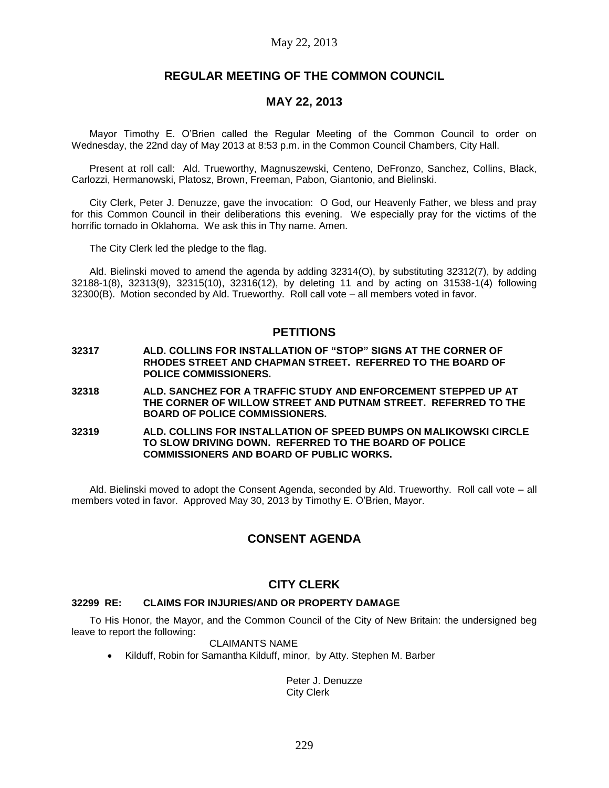# **REGULAR MEETING OF THE COMMON COUNCIL**

# **MAY 22, 2013**

Mayor Timothy E. O'Brien called the Regular Meeting of the Common Council to order on Wednesday, the 22nd day of May 2013 at 8:53 p.m. in the Common Council Chambers, City Hall.

Present at roll call: Ald. Trueworthy, Magnuszewski, Centeno, DeFronzo, Sanchez, Collins, Black, Carlozzi, Hermanowski, Platosz, Brown, Freeman, Pabon, Giantonio, and Bielinski.

City Clerk, Peter J. Denuzze, gave the invocation: O God, our Heavenly Father, we bless and pray for this Common Council in their deliberations this evening. We especially pray for the victims of the horrific tornado in Oklahoma. We ask this in Thy name. Amen.

The City Clerk led the pledge to the flag.

Ald. Bielinski moved to amend the agenda by adding 32314(O), by substituting 32312(7), by adding 32188-1(8), 32313(9), 32315(10), 32316(12), by deleting 11 and by acting on 31538-1(4) following 32300(B). Motion seconded by Ald. Trueworthy. Roll call vote – all members voted in favor.

# **PETITIONS**

- **32317 ALD. COLLINS FOR INSTALLATION OF "STOP" SIGNS AT THE CORNER OF RHODES STREET AND CHAPMAN STREET. REFERRED TO THE BOARD OF POLICE COMMISSIONERS.**
- **32318 ALD. SANCHEZ FOR A TRAFFIC STUDY AND ENFORCEMENT STEPPED UP AT THE CORNER OF WILLOW STREET AND PUTNAM STREET. REFERRED TO THE BOARD OF POLICE COMMISSIONERS.**
- **32319 ALD. COLLINS FOR INSTALLATION OF SPEED BUMPS ON MALIKOWSKI CIRCLE TO SLOW DRIVING DOWN. REFERRED TO THE BOARD OF POLICE COMMISSIONERS AND BOARD OF PUBLIC WORKS.**

Ald. Bielinski moved to adopt the Consent Agenda, seconded by Ald. Trueworthy. Roll call vote – all members voted in favor. Approved May 30, 2013 by Timothy E. O'Brien, Mayor.

# **CONSENT AGENDA**

# **CITY CLERK**

## **32299 RE: CLAIMS FOR INJURIES/AND OR PROPERTY DAMAGE**

To His Honor, the Mayor, and the Common Council of the City of New Britain: the undersigned beg leave to report the following:

## CLAIMANTS NAME

• Kilduff, Robin for Samantha Kilduff, minor, by Atty. Stephen M. Barber

Peter J. Denuzze City Clerk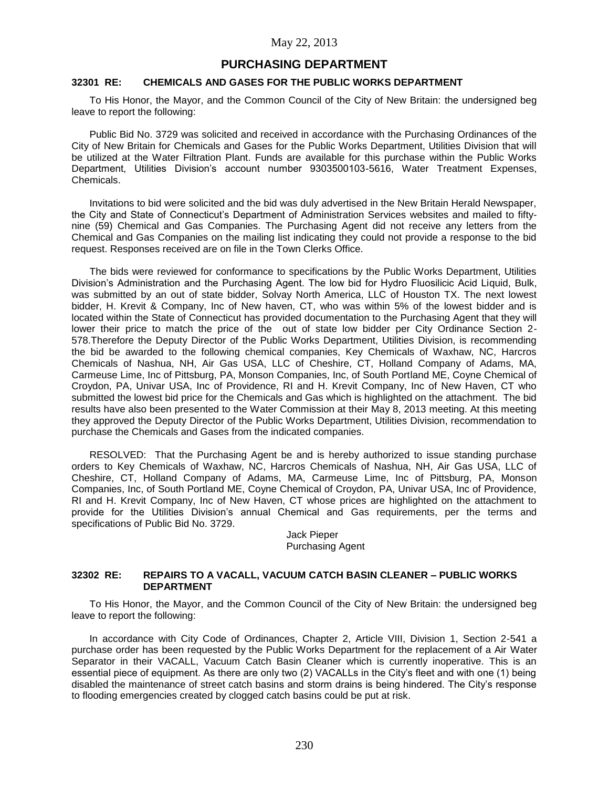# **PURCHASING DEPARTMENT**

# **32301 RE: CHEMICALS AND GASES FOR THE PUBLIC WORKS DEPARTMENT**

To His Honor, the Mayor, and the Common Council of the City of New Britain: the undersigned beg leave to report the following:

Public Bid No. 3729 was solicited and received in accordance with the Purchasing Ordinances of the City of New Britain for Chemicals and Gases for the Public Works Department, Utilities Division that will be utilized at the Water Filtration Plant. Funds are available for this purchase within the Public Works Department, Utilities Division's account number 9303500103-5616, Water Treatment Expenses, Chemicals.

Invitations to bid were solicited and the bid was duly advertised in the New Britain Herald Newspaper, the City and State of Connecticut's Department of Administration Services websites and mailed to fiftynine (59) Chemical and Gas Companies. The Purchasing Agent did not receive any letters from the Chemical and Gas Companies on the mailing list indicating they could not provide a response to the bid request. Responses received are on file in the Town Clerks Office.

The bids were reviewed for conformance to specifications by the Public Works Department, Utilities Division's Administration and the Purchasing Agent. The low bid for Hydro Fluosilicic Acid Liquid, Bulk, was submitted by an out of state bidder, Solvay North America, LLC of Houston TX. The next lowest bidder, H. Krevit & Company, Inc of New haven, CT, who was within 5% of the lowest bidder and is located within the State of Connecticut has provided documentation to the Purchasing Agent that they will lower their price to match the price of the out of state low bidder per City Ordinance Section 2- 578.Therefore the Deputy Director of the Public Works Department, Utilities Division, is recommending the bid be awarded to the following chemical companies, Key Chemicals of Waxhaw, NC, Harcros Chemicals of Nashua, NH, Air Gas USA, LLC of Cheshire, CT, Holland Company of Adams, MA, Carmeuse Lime, Inc of Pittsburg, PA, Monson Companies, Inc, of South Portland ME, Coyne Chemical of Croydon, PA, Univar USA, Inc of Providence, RI and H. Krevit Company, Inc of New Haven, CT who submitted the lowest bid price for the Chemicals and Gas which is highlighted on the attachment. The bid results have also been presented to the Water Commission at their May 8, 2013 meeting. At this meeting they approved the Deputy Director of the Public Works Department, Utilities Division, recommendation to purchase the Chemicals and Gases from the indicated companies.

RESOLVED: That the Purchasing Agent be and is hereby authorized to issue standing purchase orders to Key Chemicals of Waxhaw, NC, Harcros Chemicals of Nashua, NH, Air Gas USA, LLC of Cheshire, CT, Holland Company of Adams, MA, Carmeuse Lime, Inc of Pittsburg, PA, Monson Companies, Inc, of South Portland ME, Coyne Chemical of Croydon, PA, Univar USA, Inc of Providence, RI and H. Krevit Company, Inc of New Haven, CT whose prices are highlighted on the attachment to provide for the Utilities Division's annual Chemical and Gas requirements, per the terms and specifications of Public Bid No. 3729.

> Jack Pieper Purchasing Agent

### **32302 RE: REPAIRS TO A VACALL, VACUUM CATCH BASIN CLEANER – PUBLIC WORKS DEPARTMENT**

To His Honor, the Mayor, and the Common Council of the City of New Britain: the undersigned beg leave to report the following:

In accordance with City Code of Ordinances, Chapter 2, Article VIII, Division 1, Section 2-541 a purchase order has been requested by the Public Works Department for the replacement of a Air Water Separator in their VACALL, Vacuum Catch Basin Cleaner which is currently inoperative. This is an essential piece of equipment. As there are only two (2) VACALLs in the City's fleet and with one (1) being disabled the maintenance of street catch basins and storm drains is being hindered. The City's response to flooding emergencies created by clogged catch basins could be put at risk.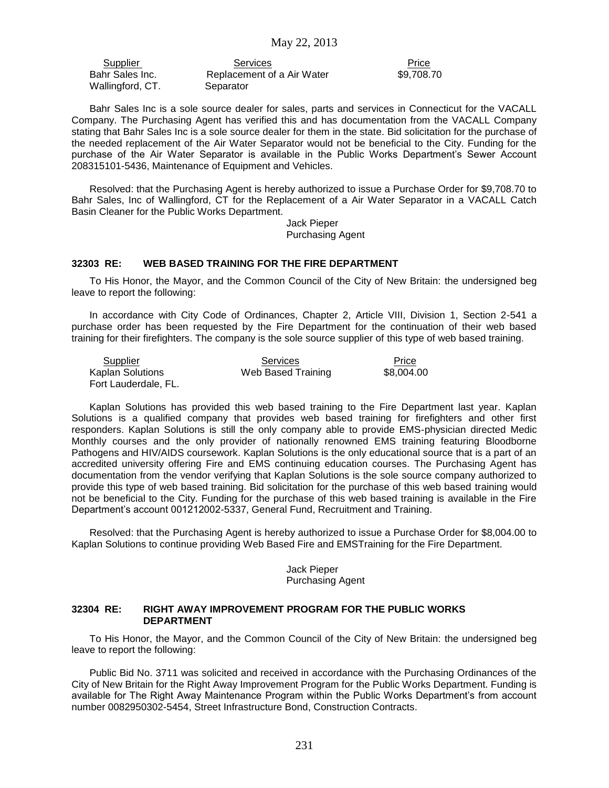Wallingford, CT. Separator

Supplier **Services** Services **Price** Bahr Sales Inc. **Replacement of a Air Water** \$9,708.70

Bahr Sales Inc is a sole source dealer for sales, parts and services in Connecticut for the VACALL Company. The Purchasing Agent has verified this and has documentation from the VACALL Company stating that Bahr Sales Inc is a sole source dealer for them in the state. Bid solicitation for the purchase of the needed replacement of the Air Water Separator would not be beneficial to the City. Funding for the purchase of the Air Water Separator is available in the Public Works Department's Sewer Account 208315101-5436, Maintenance of Equipment and Vehicles.

Resolved: that the Purchasing Agent is hereby authorized to issue a Purchase Order for \$9,708.70 to Bahr Sales, Inc of Wallingford, CT for the Replacement of a Air Water Separator in a VACALL Catch Basin Cleaner for the Public Works Department.

Jack Pieper Purchasing Agent

## **32303 RE: WEB BASED TRAINING FOR THE FIRE DEPARTMENT**

To His Honor, the Mayor, and the Common Council of the City of New Britain: the undersigned beg leave to report the following:

In accordance with City Code of Ordinances, Chapter 2, Article VIII, Division 1, Section 2-541 a purchase order has been requested by the Fire Department for the continuation of their web based training for their firefighters. The company is the sole source supplier of this type of web based training.

| Supplier                | Services           | Price      |
|-------------------------|--------------------|------------|
| <b>Kaplan Solutions</b> | Web Based Training | \$8.004.00 |
| Fort Lauderdale, FL.    |                    |            |

Kaplan Solutions has provided this web based training to the Fire Department last year. Kaplan Solutions is a qualified company that provides web based training for firefighters and other first responders. Kaplan Solutions is still the only company able to provide EMS-physician directed Medic Monthly courses and the only provider of nationally renowned EMS training featuring Bloodborne Pathogens and HIV/AIDS coursework. Kaplan Solutions is the only educational source that is a part of an accredited university offering Fire and EMS continuing education courses. The Purchasing Agent has documentation from the vendor verifying that Kaplan Solutions is the sole source company authorized to provide this type of web based training. Bid solicitation for the purchase of this web based training would not be beneficial to the City. Funding for the purchase of this web based training is available in the Fire Department's account 001212002-5337, General Fund, Recruitment and Training.

Resolved: that the Purchasing Agent is hereby authorized to issue a Purchase Order for \$8,004.00 to Kaplan Solutions to continue providing Web Based Fire and EMSTraining for the Fire Department.

## Jack Pieper Purchasing Agent

## **32304 RE: RIGHT AWAY IMPROVEMENT PROGRAM FOR THE PUBLIC WORKS DEPARTMENT**

To His Honor, the Mayor, and the Common Council of the City of New Britain: the undersigned beg leave to report the following:

Public Bid No. 3711 was solicited and received in accordance with the Purchasing Ordinances of the City of New Britain for the Right Away Improvement Program for the Public Works Department. Funding is available for The Right Away Maintenance Program within the Public Works Department's from account number 0082950302-5454, Street Infrastructure Bond, Construction Contracts.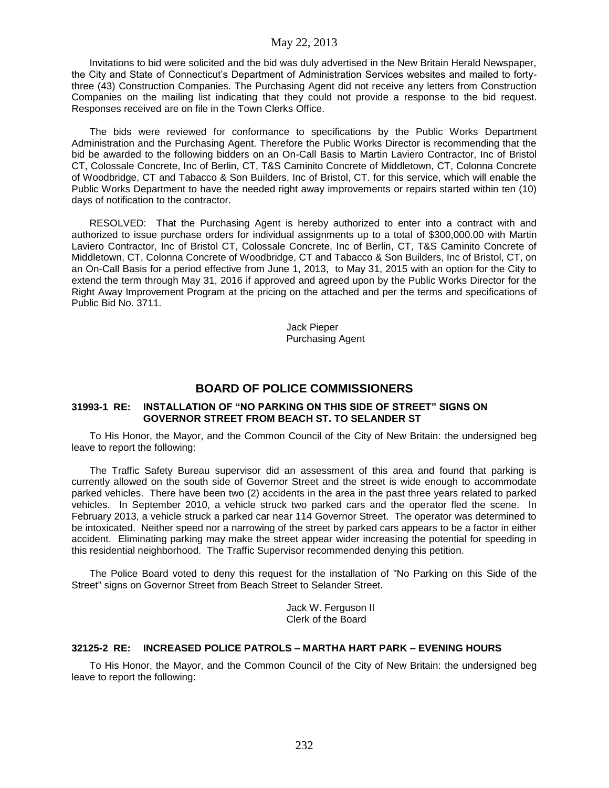Invitations to bid were solicited and the bid was duly advertised in the New Britain Herald Newspaper, the City and State of Connecticut's Department of Administration Services websites and mailed to fortythree (43) Construction Companies. The Purchasing Agent did not receive any letters from Construction Companies on the mailing list indicating that they could not provide a response to the bid request. Responses received are on file in the Town Clerks Office.

The bids were reviewed for conformance to specifications by the Public Works Department Administration and the Purchasing Agent. Therefore the Public Works Director is recommending that the bid be awarded to the following bidders on an On-Call Basis to Martin Laviero Contractor, Inc of Bristol CT, Colossale Concrete, Inc of Berlin, CT, T&S Caminito Concrete of Middletown, CT, Colonna Concrete of Woodbridge, CT and Tabacco & Son Builders, Inc of Bristol, CT. for this service, which will enable the Public Works Department to have the needed right away improvements or repairs started within ten (10) days of notification to the contractor.

RESOLVED: That the Purchasing Agent is hereby authorized to enter into a contract with and authorized to issue purchase orders for individual assignments up to a total of \$300,000.00 with Martin Laviero Contractor, Inc of Bristol CT, Colossale Concrete, Inc of Berlin, CT, T&S Caminito Concrete of Middletown, CT, Colonna Concrete of Woodbridge, CT and Tabacco & Son Builders, Inc of Bristol, CT, on an On-Call Basis for a period effective from June 1, 2013, to May 31, 2015 with an option for the City to extend the term through May 31, 2016 if approved and agreed upon by the Public Works Director for the Right Away Improvement Program at the pricing on the attached and per the terms and specifications of Public Bid No. 3711.

> Jack Pieper Purchasing Agent

# **BOARD OF POLICE COMMISSIONERS**

### **31993-1 RE: INSTALLATION OF "NO PARKING ON THIS SIDE OF STREET" SIGNS ON GOVERNOR STREET FROM BEACH ST. TO SELANDER ST**

To His Honor, the Mayor, and the Common Council of the City of New Britain: the undersigned beg leave to report the following:

The Traffic Safety Bureau supervisor did an assessment of this area and found that parking is currently allowed on the south side of Governor Street and the street is wide enough to accommodate parked vehicles. There have been two (2) accidents in the area in the past three years related to parked vehicles. In September 2010, a vehicle struck two parked cars and the operator fled the scene. In February 2013, a vehicle struck a parked car near 114 Governor Street. The operator was determined to be intoxicated. Neither speed nor a narrowing of the street by parked cars appears to be a factor in either accident. Eliminating parking may make the street appear wider increasing the potential for speeding in this residential neighborhood. The Traffic Supervisor recommended denying this petition.

The Police Board voted to deny this request for the installation of "No Parking on this Side of the Street" signs on Governor Street from Beach Street to Selander Street.

> Jack W. Ferguson II Clerk of the Board

## **32125-2 RE: INCREASED POLICE PATROLS – MARTHA HART PARK – EVENING HOURS**

To His Honor, the Mayor, and the Common Council of the City of New Britain: the undersigned beg leave to report the following: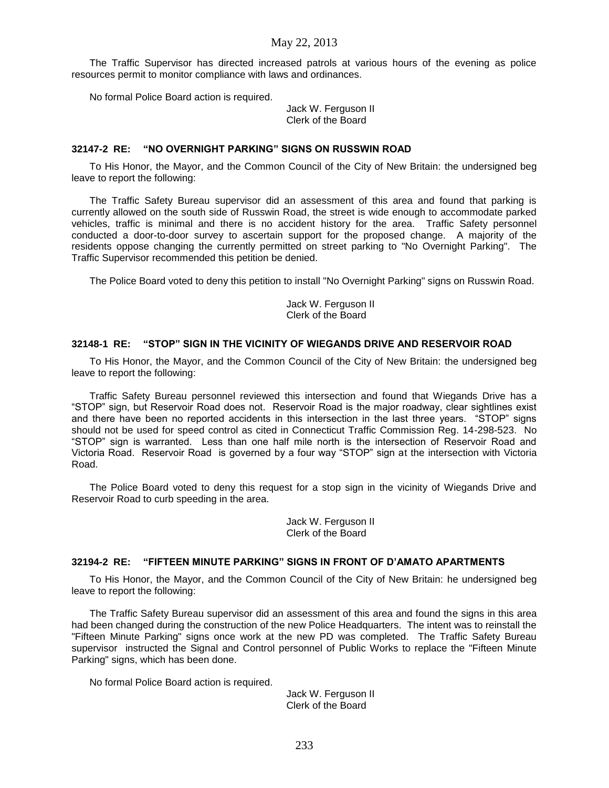The Traffic Supervisor has directed increased patrols at various hours of the evening as police resources permit to monitor compliance with laws and ordinances.

No formal Police Board action is required.

Jack W. Ferguson II Clerk of the Board

#### **32147-2 RE: "NO OVERNIGHT PARKING" SIGNS ON RUSSWIN ROAD**

To His Honor, the Mayor, and the Common Council of the City of New Britain: the undersigned beg leave to report the following:

The Traffic Safety Bureau supervisor did an assessment of this area and found that parking is currently allowed on the south side of Russwin Road, the street is wide enough to accommodate parked vehicles, traffic is minimal and there is no accident history for the area. Traffic Safety personnel conducted a door-to-door survey to ascertain support for the proposed change. A majority of the residents oppose changing the currently permitted on street parking to "No Overnight Parking". The Traffic Supervisor recommended this petition be denied.

The Police Board voted to deny this petition to install "No Overnight Parking" signs on Russwin Road.

Jack W. Ferguson II Clerk of the Board

## **32148-1 RE: "STOP" SIGN IN THE VICINITY OF WIEGANDS DRIVE AND RESERVOIR ROAD**

To His Honor, the Mayor, and the Common Council of the City of New Britain: the undersigned beg leave to report the following:

Traffic Safety Bureau personnel reviewed this intersection and found that Wiegands Drive has a "STOP" sign, but Reservoir Road does not. Reservoir Road is the major roadway, clear sightlines exist and there have been no reported accidents in this intersection in the last three years. "STOP" signs should not be used for speed control as cited in Connecticut Traffic Commission Reg. 14-298-523. No "STOP" sign is warranted. Less than one half mile north is the intersection of Reservoir Road and Victoria Road. Reservoir Road is governed by a four way "STOP" sign at the intersection with Victoria Road.

The Police Board voted to deny this request for a stop sign in the vicinity of Wiegands Drive and Reservoir Road to curb speeding in the area.

> Jack W. Ferguson II Clerk of the Board

## **32194-2 RE: "FIFTEEN MINUTE PARKING" SIGNS IN FRONT OF D'AMATO APARTMENTS**

To His Honor, the Mayor, and the Common Council of the City of New Britain: he undersigned beg leave to report the following:

The Traffic Safety Bureau supervisor did an assessment of this area and found the signs in this area had been changed during the construction of the new Police Headquarters. The intent was to reinstall the "Fifteen Minute Parking" signs once work at the new PD was completed. The Traffic Safety Bureau supervisor instructed the Signal and Control personnel of Public Works to replace the "Fifteen Minute Parking" signs, which has been done.

No formal Police Board action is required.

Jack W. Ferguson II Clerk of the Board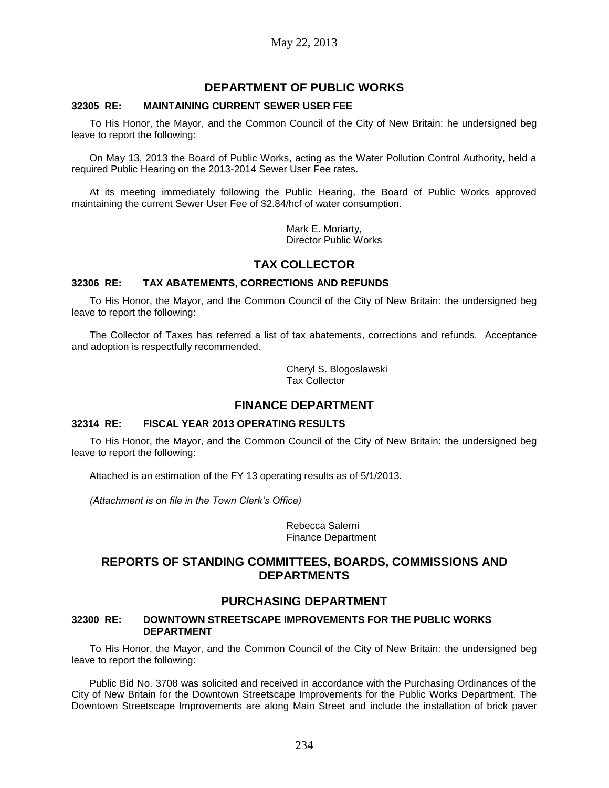# **DEPARTMENT OF PUBLIC WORKS**

## **32305 RE: MAINTAINING CURRENT SEWER USER FEE**

To His Honor, the Mayor, and the Common Council of the City of New Britain: he undersigned beg leave to report the following:

On May 13, 2013 the Board of Public Works, acting as the Water Pollution Control Authority, held a required Public Hearing on the 2013-2014 Sewer User Fee rates.

At its meeting immediately following the Public Hearing, the Board of Public Works approved maintaining the current Sewer User Fee of \$2.84/hcf of water consumption.

> Mark E. Moriarty, Director Public Works

# **TAX COLLECTOR**

## **32306 RE: TAX ABATEMENTS, CORRECTIONS AND REFUNDS**

To His Honor, the Mayor, and the Common Council of the City of New Britain: the undersigned beg leave to report the following:

The Collector of Taxes has referred a list of tax abatements, corrections and refunds. Acceptance and adoption is respectfully recommended.

> Cheryl S. Blogoslawski Tax Collector

# **FINANCE DEPARTMENT**

## **32314 RE: FISCAL YEAR 2013 OPERATING RESULTS**

To His Honor, the Mayor, and the Common Council of the City of New Britain: the undersigned beg leave to report the following:

Attached is an estimation of the FY 13 operating results as of 5/1/2013.

*(Attachment is on file in the Town Clerk's Office)*

Rebecca Salerni Finance Department

# **REPORTS OF STANDING COMMITTEES, BOARDS, COMMISSIONS AND DEPARTMENTS**

# **PURCHASING DEPARTMENT**

## **32300 RE: DOWNTOWN STREETSCAPE IMPROVEMENTS FOR THE PUBLIC WORKS DEPARTMENT**

To His Honor, the Mayor, and the Common Council of the City of New Britain: the undersigned beg leave to report the following:

Public Bid No. 3708 was solicited and received in accordance with the Purchasing Ordinances of the City of New Britain for the Downtown Streetscape Improvements for the Public Works Department. The Downtown Streetscape Improvements are along Main Street and include the installation of brick paver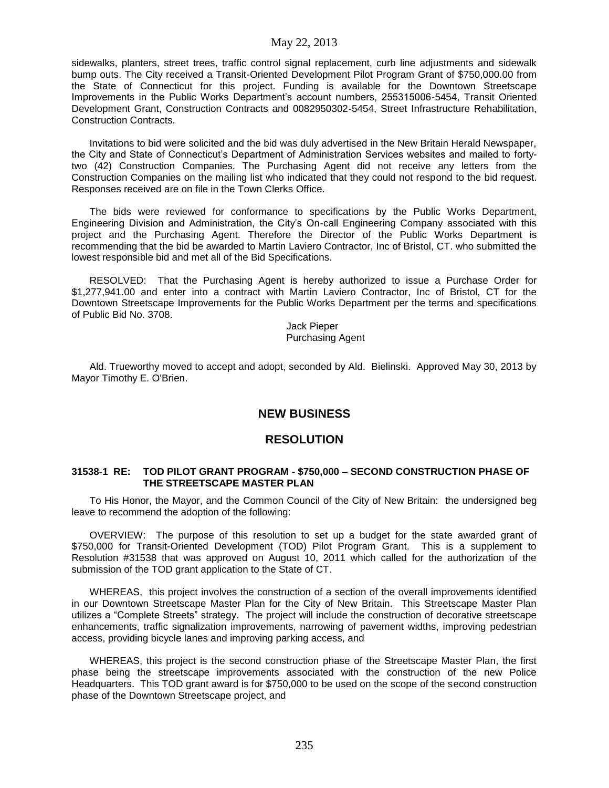sidewalks, planters, street trees, traffic control signal replacement, curb line adjustments and sidewalk bump outs. The City received a Transit-Oriented Development Pilot Program Grant of \$750,000.00 from the State of Connecticut for this project. Funding is available for the Downtown Streetscape Improvements in the Public Works Department's account numbers, 255315006-5454, Transit Oriented Development Grant, Construction Contracts and 0082950302-5454, Street Infrastructure Rehabilitation, Construction Contracts.

Invitations to bid were solicited and the bid was duly advertised in the New Britain Herald Newspaper, the City and State of Connecticut's Department of Administration Services websites and mailed to fortytwo (42) Construction Companies. The Purchasing Agent did not receive any letters from the Construction Companies on the mailing list who indicated that they could not respond to the bid request. Responses received are on file in the Town Clerks Office.

The bids were reviewed for conformance to specifications by the Public Works Department, Engineering Division and Administration, the City's On-call Engineering Company associated with this project and the Purchasing Agent. Therefore the Director of the Public Works Department is recommending that the bid be awarded to Martin Laviero Contractor, Inc of Bristol, CT. who submitted the lowest responsible bid and met all of the Bid Specifications.

RESOLVED: That the Purchasing Agent is hereby authorized to issue a Purchase Order for \$1,277,941.00 and enter into a contract with Martin Laviero Contractor, Inc of Bristol, CT for the Downtown Streetscape Improvements for the Public Works Department per the terms and specifications of Public Bid No. 3708.

> Jack Pieper Purchasing Agent

Ald. Trueworthy moved to accept and adopt, seconded by Ald. Bielinski. Approved May 30, 2013 by Mayor Timothy E. O'Brien.

# **NEW BUSINESS**

# **RESOLUTION**

#### **31538-1 RE: TOD PILOT GRANT PROGRAM - \$750,000 – SECOND CONSTRUCTION PHASE OF THE STREETSCAPE MASTER PLAN**

To His Honor, the Mayor, and the Common Council of the City of New Britain: the undersigned beg leave to recommend the adoption of the following:

OVERVIEW: The purpose of this resolution to set up a budget for the state awarded grant of \$750,000 for Transit-Oriented Development (TOD) Pilot Program Grant. This is a supplement to Resolution #31538 that was approved on August 10, 2011 which called for the authorization of the submission of the TOD grant application to the State of CT.

WHEREAS, this project involves the construction of a section of the overall improvements identified in our Downtown Streetscape Master Plan for the City of New Britain. This Streetscape Master Plan utilizes a "Complete Streets" strategy. The project will include the construction of decorative streetscape enhancements, traffic signalization improvements, narrowing of pavement widths, improving pedestrian access, providing bicycle lanes and improving parking access, and

WHEREAS, this project is the second construction phase of the Streetscape Master Plan, the first phase being the streetscape improvements associated with the construction of the new Police Headquarters. This TOD grant award is for \$750,000 to be used on the scope of the second construction phase of the Downtown Streetscape project, and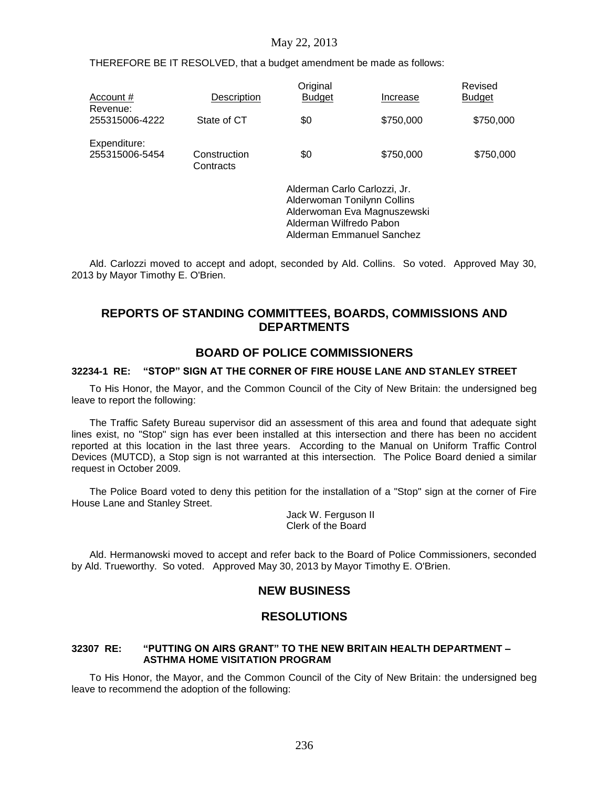THEREFORE BE IT RESOLVED, that a budget amendment be made as follows:

| Account #<br>Revenue:          | <b>Description</b>        | Original<br><b>Budget</b>                                                              | Increase                                                 | Revised<br><b>Budget</b> |
|--------------------------------|---------------------------|----------------------------------------------------------------------------------------|----------------------------------------------------------|--------------------------|
| 255315006-4222                 | State of CT               | \$0                                                                                    | \$750,000                                                | \$750,000                |
| Expenditure:<br>255315006-5454 | Construction<br>Contracts | \$0                                                                                    | \$750,000                                                | \$750,000                |
|                                |                           | Alderman Carlo Carlozzi, Jr.<br>Alderwoman Tonilynn Collins<br>Alderman Wilfredo Pabon | Alderwoman Eva Magnuszewski<br>Alderman Emmanuel Sanchez |                          |

Ald. Carlozzi moved to accept and adopt, seconded by Ald. Collins. So voted. Approved May 30, 2013 by Mayor Timothy E. O'Brien.

# **REPORTS OF STANDING COMMITTEES, BOARDS, COMMISSIONS AND DEPARTMENTS**

# **BOARD OF POLICE COMMISSIONERS**

#### **32234-1 RE: "STOP" SIGN AT THE CORNER OF FIRE HOUSE LANE AND STANLEY STREET**

To His Honor, the Mayor, and the Common Council of the City of New Britain: the undersigned beg leave to report the following:

The Traffic Safety Bureau supervisor did an assessment of this area and found that adequate sight lines exist, no "Stop" sign has ever been installed at this intersection and there has been no accident reported at this location in the last three years. According to the Manual on Uniform Traffic Control Devices (MUTCD), a Stop sign is not warranted at this intersection. The Police Board denied a similar request in October 2009.

The Police Board voted to deny this petition for the installation of a "Stop" sign at the corner of Fire House Lane and Stanley Street.

> Jack W. Ferguson II Clerk of the Board

Ald. Hermanowski moved to accept and refer back to the Board of Police Commissioners, seconded by Ald. Trueworthy. So voted. Approved May 30, 2013 by Mayor Timothy E. O'Brien.

# **NEW BUSINESS**

# **RESOLUTIONS**

## **32307 RE: "PUTTING ON AIRS GRANT" TO THE NEW BRITAIN HEALTH DEPARTMENT – ASTHMA HOME VISITATION PROGRAM**

To His Honor, the Mayor, and the Common Council of the City of New Britain: the undersigned beg leave to recommend the adoption of the following: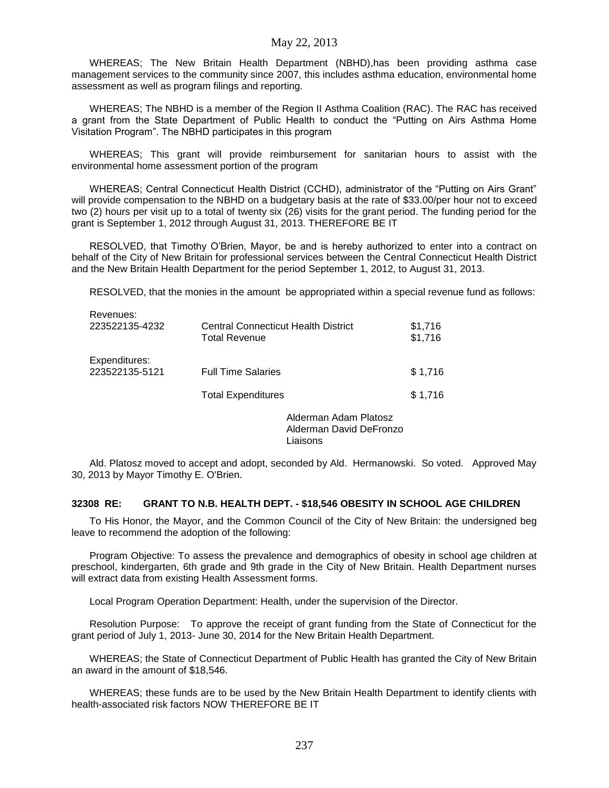WHEREAS; The New Britain Health Department (NBHD),has been providing asthma case management services to the community since 2007, this includes asthma education, environmental home assessment as well as program filings and reporting.

WHEREAS; The NBHD is a member of the Region II Asthma Coalition (RAC). The RAC has received a grant from the State Department of Public Health to conduct the "Putting on Airs Asthma Home Visitation Program". The NBHD participates in this program

WHEREAS; This grant will provide reimbursement for sanitarian hours to assist with the environmental home assessment portion of the program

WHEREAS; Central Connecticut Health District (CCHD), administrator of the "Putting on Airs Grant" will provide compensation to the NBHD on a budgetary basis at the rate of \$33.00/per hour not to exceed two (2) hours per visit up to a total of twenty six (26) visits for the grant period. The funding period for the grant is September 1, 2012 through August 31, 2013. THEREFORE BE IT

RESOLVED, that Timothy O'Brien, Mayor, be and is hereby authorized to enter into a contract on behalf of the City of New Britain for professional services between the Central Connecticut Health District and the New Britain Health Department for the period September 1, 2012, to August 31, 2013.

RESOLVED, that the monies in the amount be appropriated within a special revenue fund as follows:

| NGVGHUGS.<br>223522135-4232     | <b>Central Connecticut Health District</b><br><b>Total Revenue</b> | \$1,716<br>\$1,716 |
|---------------------------------|--------------------------------------------------------------------|--------------------|
| Expenditures:<br>223522135-5121 | <b>Full Time Salaries</b>                                          | \$1,716            |
|                                 | <b>Total Expenditures</b>                                          | \$1,716            |
|                                 | Alderman Adam Platosz                                              |                    |

Revenues:

Alderman David DeFronzo Liaisons

Ald. Platosz moved to accept and adopt, seconded by Ald. Hermanowski. So voted. Approved May 30, 2013 by Mayor Timothy E. O'Brien.

## **32308 RE: GRANT TO N.B. HEALTH DEPT. - \$18,546 OBESITY IN SCHOOL AGE CHILDREN**

To His Honor, the Mayor, and the Common Council of the City of New Britain: the undersigned beg leave to recommend the adoption of the following:

Program Objective: To assess the prevalence and demographics of obesity in school age children at preschool, kindergarten, 6th grade and 9th grade in the City of New Britain. Health Department nurses will extract data from existing Health Assessment forms.

Local Program Operation Department: Health, under the supervision of the Director.

Resolution Purpose: To approve the receipt of grant funding from the State of Connecticut for the grant period of July 1, 2013- June 30, 2014 for the New Britain Health Department.

WHEREAS; the State of Connecticut Department of Public Health has granted the City of New Britain an award in the amount of \$18,546.

WHEREAS; these funds are to be used by the New Britain Health Department to identify clients with health-associated risk factors NOW THEREFORE BE IT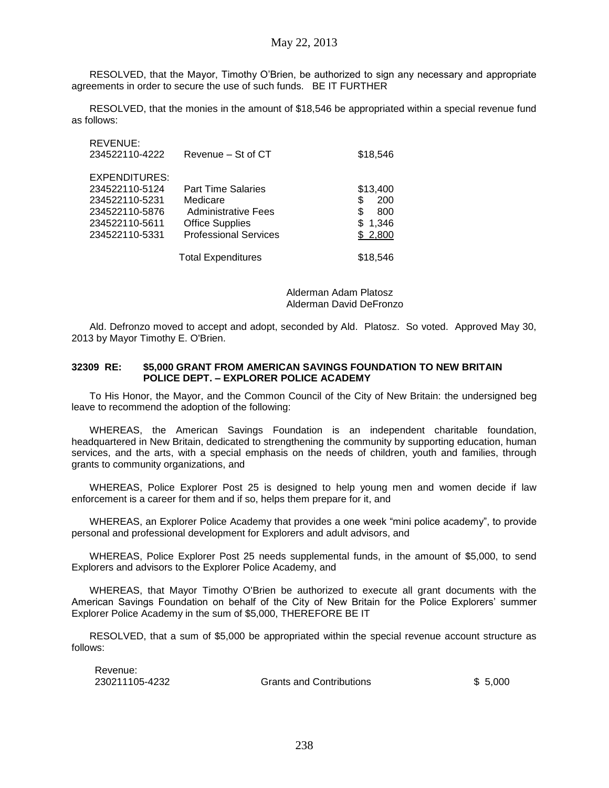RESOLVED, that the Mayor, Timothy O'Brien, be authorized to sign any necessary and appropriate agreements in order to secure the use of such funds. BE IT FURTHER

RESOLVED, that the monies in the amount of \$18,546 be appropriated within a special revenue fund as follows:

| REVENUE:<br>234522110-4222 | Revenue - St of CT           | \$18,546  |
|----------------------------|------------------------------|-----------|
| <b>EXPENDITURES:</b>       |                              |           |
| 234522110-5124             | <b>Part Time Salaries</b>    | \$13,400  |
| 234522110-5231             | Medicare                     | \$<br>200 |
| 234522110-5876             | <b>Administrative Fees</b>   | \$<br>800 |
| 234522110-5611             | <b>Office Supplies</b>       | \$1,346   |
| 234522110-5331             | <b>Professional Services</b> | \$2,800   |
|                            | <b>Total Expenditures</b>    | \$18,546  |

Alderman Adam Platosz Alderman David DeFronzo

Ald. Defronzo moved to accept and adopt, seconded by Ald. Platosz. So voted. Approved May 30, 2013 by Mayor Timothy E. O'Brien.

## **32309 RE: \$5,000 GRANT FROM AMERICAN SAVINGS FOUNDATION TO NEW BRITAIN POLICE DEPT. – EXPLORER POLICE ACADEMY**

To His Honor, the Mayor, and the Common Council of the City of New Britain: the undersigned beg leave to recommend the adoption of the following:

WHEREAS, the American Savings Foundation is an independent charitable foundation, headquartered in New Britain, dedicated to strengthening the community by supporting education, human services, and the arts, with a special emphasis on the needs of children, youth and families, through grants to community organizations, and

WHEREAS, Police Explorer Post 25 is designed to help young men and women decide if law enforcement is a career for them and if so, helps them prepare for it, and

WHEREAS, an Explorer Police Academy that provides a one week "mini police academy", to provide personal and professional development for Explorers and adult advisors, and

WHEREAS, Police Explorer Post 25 needs supplemental funds, in the amount of \$5,000, to send Explorers and advisors to the Explorer Police Academy, and

WHEREAS, that Mayor Timothy O'Brien be authorized to execute all grant documents with the American Savings Foundation on behalf of the City of New Britain for the Police Explorers' summer Explorer Police Academy in the sum of \$5,000, THEREFORE BE IT

RESOLVED, that a sum of \$5,000 be appropriated within the special revenue account structure as follows:

Revenue:

REVENUE:

230211105-4232 Grants and Contributions \$ 5,000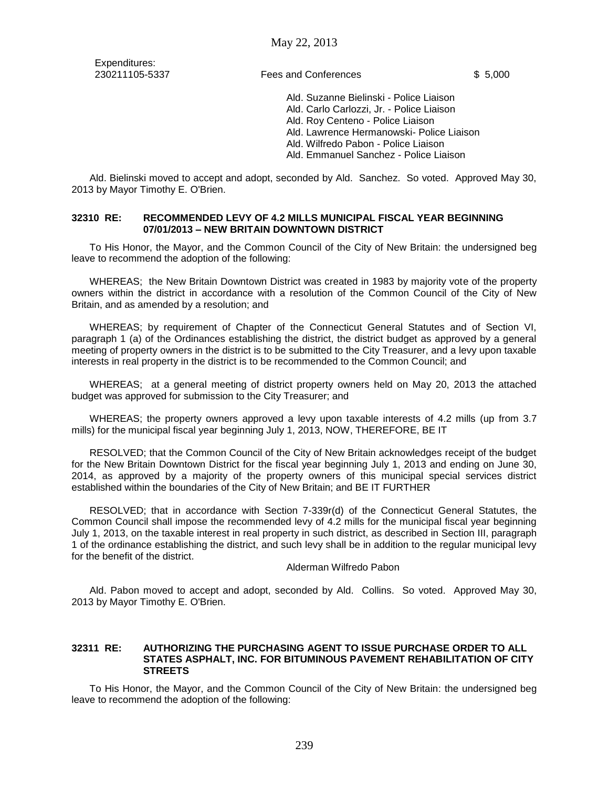Expenditures:

230211105-5337 Fees and Conferences \$ 5,000

Ald. Suzanne Bielinski - Police Liaison Ald. Carlo Carlozzi, Jr. - Police Liaison Ald. Roy Centeno - Police Liaison Ald. Lawrence Hermanowski- Police Liaison Ald. Wilfredo Pabon - Police Liaison Ald. Emmanuel Sanchez - Police Liaison

Ald. Bielinski moved to accept and adopt, seconded by Ald. Sanchez. So voted. Approved May 30, 2013 by Mayor Timothy E. O'Brien.

### **32310 RE: RECOMMENDED LEVY OF 4.2 MILLS MUNICIPAL FISCAL YEAR BEGINNING 07/01/2013 – NEW BRITAIN DOWNTOWN DISTRICT**

To His Honor, the Mayor, and the Common Council of the City of New Britain: the undersigned beg leave to recommend the adoption of the following:

WHEREAS; the New Britain Downtown District was created in 1983 by majority vote of the property owners within the district in accordance with a resolution of the Common Council of the City of New Britain, and as amended by a resolution; and

WHEREAS; by requirement of Chapter of the Connecticut General Statutes and of Section VI, paragraph 1 (a) of the Ordinances establishing the district, the district budget as approved by a general meeting of property owners in the district is to be submitted to the City Treasurer, and a levy upon taxable interests in real property in the district is to be recommended to the Common Council; and

WHEREAS; at a general meeting of district property owners held on May 20, 2013 the attached budget was approved for submission to the City Treasurer; and

WHEREAS; the property owners approved a levy upon taxable interests of 4.2 mills (up from 3.7 mills) for the municipal fiscal year beginning July 1, 2013, NOW, THEREFORE, BE IT

RESOLVED; that the Common Council of the City of New Britain acknowledges receipt of the budget for the New Britain Downtown District for the fiscal year beginning July 1, 2013 and ending on June 30, 2014, as approved by a majority of the property owners of this municipal special services district established within the boundaries of the City of New Britain; and BE IT FURTHER

RESOLVED; that in accordance with Section 7-339r(d) of the Connecticut General Statutes, the Common Council shall impose the recommended levy of 4.2 mills for the municipal fiscal year beginning July 1, 2013, on the taxable interest in real property in such district, as described in Section III, paragraph 1 of the ordinance establishing the district, and such levy shall be in addition to the regular municipal levy for the benefit of the district.

#### Alderman Wilfredo Pabon

Ald. Pabon moved to accept and adopt, seconded by Ald. Collins. So voted. Approved May 30, 2013 by Mayor Timothy E. O'Brien.

#### **32311 RE: AUTHORIZING THE PURCHASING AGENT TO ISSUE PURCHASE ORDER TO ALL STATES ASPHALT, INC. FOR BITUMINOUS PAVEMENT REHABILITATION OF CITY STREETS**

To His Honor, the Mayor, and the Common Council of the City of New Britain: the undersigned beg leave to recommend the adoption of the following: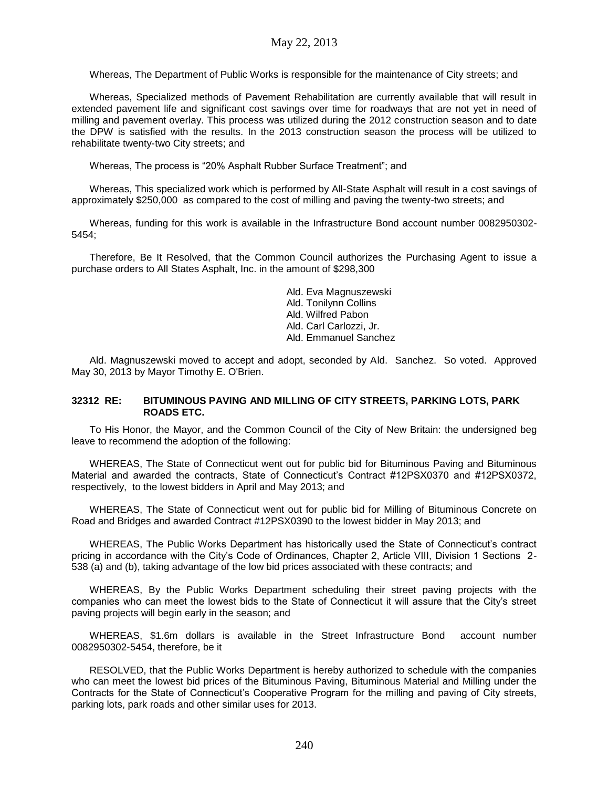Whereas, The Department of Public Works is responsible for the maintenance of City streets; and

Whereas, Specialized methods of Pavement Rehabilitation are currently available that will result in extended pavement life and significant cost savings over time for roadways that are not yet in need of milling and pavement overlay. This process was utilized during the 2012 construction season and to date the DPW is satisfied with the results. In the 2013 construction season the process will be utilized to rehabilitate twenty-two City streets; and

Whereas, The process is "20% Asphalt Rubber Surface Treatment"; and

Whereas, This specialized work which is performed by All-State Asphalt will result in a cost savings of approximately \$250,000 as compared to the cost of milling and paving the twenty-two streets; and

Whereas, funding for this work is available in the Infrastructure Bond account number 0082950302- 5454;

Therefore, Be It Resolved, that the Common Council authorizes the Purchasing Agent to issue a purchase orders to All States Asphalt, Inc. in the amount of \$298,300

> Ald. Eva Magnuszewski Ald. Tonilynn Collins Ald. Wilfred Pabon Ald. Carl Carlozzi, Jr. Ald. Emmanuel Sanchez

Ald. Magnuszewski moved to accept and adopt, seconded by Ald. Sanchez. So voted. Approved May 30, 2013 by Mayor Timothy E. O'Brien.

### **32312 RE: BITUMINOUS PAVING AND MILLING OF CITY STREETS, PARKING LOTS, PARK ROADS ETC.**

To His Honor, the Mayor, and the Common Council of the City of New Britain: the undersigned beg leave to recommend the adoption of the following:

WHEREAS, The State of Connecticut went out for public bid for Bituminous Paving and Bituminous Material and awarded the contracts, State of Connecticut's Contract #12PSX0370 and #12PSX0372, respectively, to the lowest bidders in April and May 2013; and

WHEREAS, The State of Connecticut went out for public bid for Milling of Bituminous Concrete on Road and Bridges and awarded Contract #12PSX0390 to the lowest bidder in May 2013; and

WHEREAS, The Public Works Department has historically used the State of Connecticut's contract pricing in accordance with the City's Code of Ordinances, Chapter 2, Article VIII, Division 1 Sections 2- 538 (a) and (b), taking advantage of the low bid prices associated with these contracts; and

WHEREAS, By the Public Works Department scheduling their street paving projects with the companies who can meet the lowest bids to the State of Connecticut it will assure that the City's street paving projects will begin early in the season; and

WHEREAS, \$1.6m dollars is available in the Street Infrastructure Bond account number 0082950302-5454, therefore, be it

RESOLVED, that the Public Works Department is hereby authorized to schedule with the companies who can meet the lowest bid prices of the Bituminous Paving, Bituminous Material and Milling under the Contracts for the State of Connecticut's Cooperative Program for the milling and paving of City streets, parking lots, park roads and other similar uses for 2013.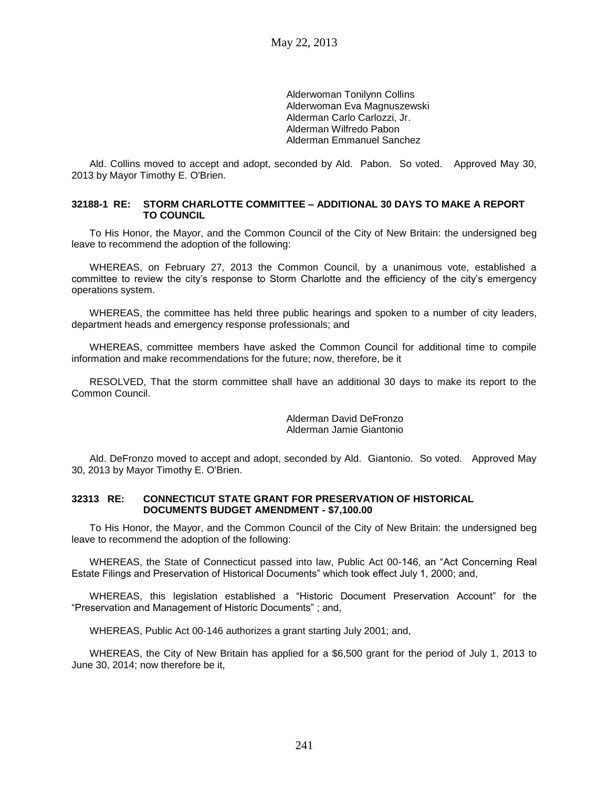Alderwoman Tonilynn Collins Alderwoman Eva Magnuszewski Alderman Carlo Carlozzi, Jr. Alderman Wilfredo Pabon Alderman Emmanuel Sanchez

Ald. Collins moved to accept and adopt, seconded by Ald. Pabon. So voted. Approved May 30, 2013 by Mayor Timothy E. O'Brien.

## **32188-1 RE: STORM CHARLOTTE COMMITTEE – ADDITIONAL 30 DAYS TO MAKE A REPORT TO COUNCIL**

To His Honor, the Mayor, and the Common Council of the City of New Britain: the undersigned beg leave to recommend the adoption of the following:

WHEREAS, on February 27, 2013 the Common Council, by a unanimous vote, established a committee to review the city's response to Storm Charlotte and the efficiency of the city's emergency operations system.

WHEREAS, the committee has held three public hearings and spoken to a number of city leaders, department heads and emergency response professionals; and

WHEREAS, committee members have asked the Common Council for additional time to compile information and make recommendations for the future; now, therefore, be it

RESOLVED, That the storm committee shall have an additional 30 days to make its report to the Common Council.

## Alderman David DeFronzo Alderman Jamie Giantonio

Ald. DeFronzo moved to accept and adopt, seconded by Ald. Giantonio. So voted. Approved May 30, 2013 by Mayor Timothy E. O'Brien.

#### **32313 RE: CONNECTICUT STATE GRANT FOR PRESERVATION OF HISTORICAL DOCUMENTS BUDGET AMENDMENT - \$7,100.00**

To His Honor, the Mayor, and the Common Council of the City of New Britain: the undersigned beg leave to recommend the adoption of the following:

WHEREAS, the State of Connecticut passed into law, Public Act 00-146, an "Act Concerning Real Estate Filings and Preservation of Historical Documents" which took effect July 1, 2000; and,

WHEREAS, this legislation established a "Historic Document Preservation Account" for the "Preservation and Management of Historic Documents" ; and,

WHEREAS, Public Act 00-146 authorizes a grant starting July 2001; and,

WHEREAS, the City of New Britain has applied for a \$6,500 grant for the period of July 1, 2013 to June 30, 2014; now therefore be it,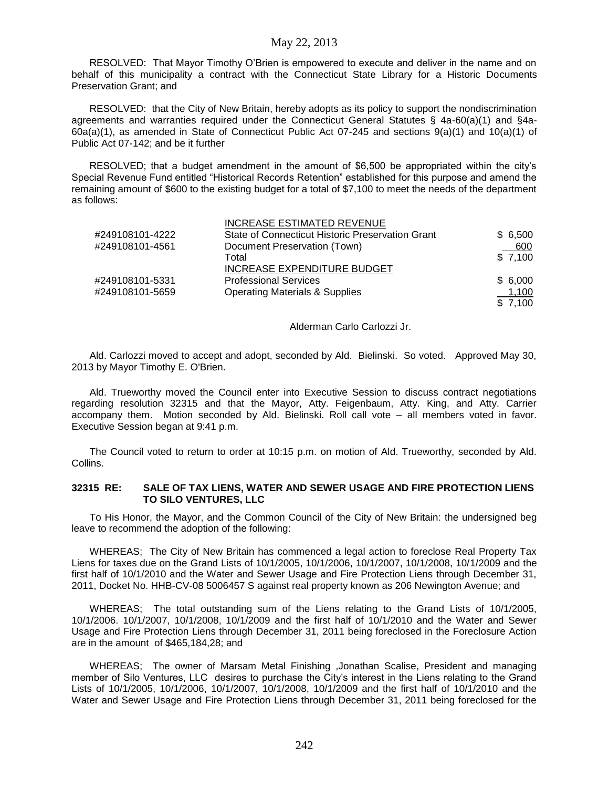RESOLVED: That Mayor Timothy O'Brien is empowered to execute and deliver in the name and on behalf of this municipality a contract with the Connecticut State Library for a Historic Documents Preservation Grant; and

RESOLVED: that the City of New Britain, hereby adopts as its policy to support the nondiscrimination agreements and warranties required under the Connecticut General Statutes § 4a-60(a)(1) and §4a-60a(a)(1), as amended in State of Connecticut Public Act 07-245 and sections  $9(a)(1)$  and  $10(a)(1)$  of Public Act 07-142; and be it further

RESOLVED; that a budget amendment in the amount of \$6,500 be appropriated within the city's Special Revenue Fund entitled "Historical Records Retention" established for this purpose and amend the remaining amount of \$600 to the existing budget for a total of \$7,100 to meet the needs of the department as follows:

|                 | <b>INCREASE ESTIMATED REVENUE</b>                |         |
|-----------------|--------------------------------------------------|---------|
| #249108101-4222 | State of Connecticut Historic Preservation Grant | \$6,500 |
| #249108101-4561 | Document Preservation (Town)                     | 600     |
|                 | Total                                            | \$7,100 |
|                 | INCREASE EXPENDITURE BUDGET                      |         |
| #249108101-5331 | <b>Professional Services</b>                     | \$6,000 |
| #249108101-5659 | <b>Operating Materials &amp; Supplies</b>        | 1,100   |
|                 |                                                  | \$7.100 |

Alderman Carlo Carlozzi Jr.

Ald. Carlozzi moved to accept and adopt, seconded by Ald. Bielinski. So voted. Approved May 30, 2013 by Mayor Timothy E. O'Brien.

Ald. Trueworthy moved the Council enter into Executive Session to discuss contract negotiations regarding resolution 32315 and that the Mayor, Atty. Feigenbaum, Atty. King, and Atty. Carrier accompany them. Motion seconded by Ald. Bielinski. Roll call vote – all members voted in favor. Executive Session began at 9:41 p.m.

The Council voted to return to order at 10:15 p.m. on motion of Ald. Trueworthy, seconded by Ald. Collins.

### **32315 RE: SALE OF TAX LIENS, WATER AND SEWER USAGE AND FIRE PROTECTION LIENS TO SILO VENTURES, LLC**

To His Honor, the Mayor, and the Common Council of the City of New Britain: the undersigned beg leave to recommend the adoption of the following:

WHEREAS; The City of New Britain has commenced a legal action to foreclose Real Property Tax Liens for taxes due on the Grand Lists of 10/1/2005, 10/1/2006, 10/1/2007, 10/1/2008, 10/1/2009 and the first half of 10/1/2010 and the Water and Sewer Usage and Fire Protection Liens through December 31, 2011, Docket No. HHB-CV-08 5006457 S against real property known as 206 Newington Avenue; and

WHEREAS; The total outstanding sum of the Liens relating to the Grand Lists of 10/1/2005, 10/1/2006. 10/1/2007, 10/1/2008, 10/1/2009 and the first half of 10/1/2010 and the Water and Sewer Usage and Fire Protection Liens through December 31, 2011 being foreclosed in the Foreclosure Action are in the amount of \$465,184,28; and

WHEREAS; The owner of Marsam Metal Finishing ,Jonathan Scalise, President and managing member of Silo Ventures, LLC desires to purchase the City's interest in the Liens relating to the Grand Lists of 10/1/2005, 10/1/2006, 10/1/2007, 10/1/2008, 10/1/2009 and the first half of 10/1/2010 and the Water and Sewer Usage and Fire Protection Liens through December 31, 2011 being foreclosed for the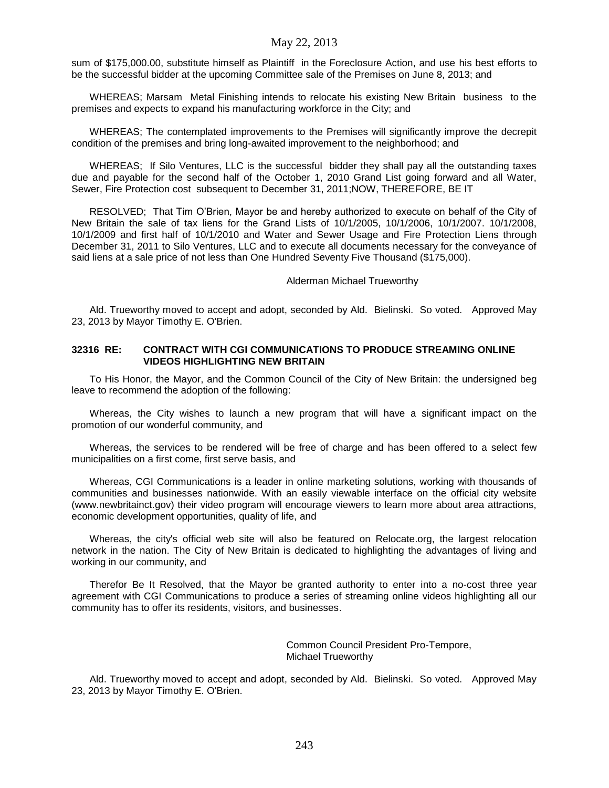sum of \$175,000.00, substitute himself as Plaintiff in the Foreclosure Action, and use his best efforts to be the successful bidder at the upcoming Committee sale of the Premises on June 8, 2013; and

WHEREAS; Marsam Metal Finishing intends to relocate his existing New Britain business to the premises and expects to expand his manufacturing workforce in the City; and

WHEREAS; The contemplated improvements to the Premises will significantly improve the decrepit condition of the premises and bring long-awaited improvement to the neighborhood; and

WHEREAS; If Silo Ventures, LLC is the successful bidder they shall pay all the outstanding taxes due and payable for the second half of the October 1, 2010 Grand List going forward and all Water, Sewer, Fire Protection cost subsequent to December 31, 2011;NOW, THEREFORE, BE IT

RESOLVED; That Tim O'Brien, Mayor be and hereby authorized to execute on behalf of the City of New Britain the sale of tax liens for the Grand Lists of 10/1/2005, 10/1/2006, 10/1/2007. 10/1/2008, 10/1/2009 and first half of 10/1/2010 and Water and Sewer Usage and Fire Protection Liens through December 31, 2011 to Silo Ventures, LLC and to execute all documents necessary for the conveyance of said liens at a sale price of not less than One Hundred Seventy Five Thousand (\$175,000).

#### Alderman Michael Trueworthy

Ald. Trueworthy moved to accept and adopt, seconded by Ald. Bielinski. So voted. Approved May 23, 2013 by Mayor Timothy E. O'Brien.

### **32316 RE: CONTRACT WITH CGI COMMUNICATIONS TO PRODUCE STREAMING ONLINE VIDEOS HIGHLIGHTING NEW BRITAIN**

To His Honor, the Mayor, and the Common Council of the City of New Britain: the undersigned beg leave to recommend the adoption of the following:

Whereas, the City wishes to launch a new program that will have a significant impact on the promotion of our wonderful community, and

Whereas, the services to be rendered will be free of charge and has been offered to a select few municipalities on a first come, first serve basis, and

Whereas, CGI Communications is a leader in online marketing solutions, working with thousands of communities and businesses nationwide. With an easily viewable interface on the official city website (www.newbritainct.gov) their video program will encourage viewers to learn more about area attractions, economic development opportunities, quality of life, and

Whereas, the city's official web site will also be featured on Relocate.org, the largest relocation network in the nation. The City of New Britain is dedicated to highlighting the advantages of living and working in our community, and

Therefor Be It Resolved, that the Mayor be granted authority to enter into a no-cost three year agreement with CGI Communications to produce a series of streaming online videos highlighting all our community has to offer its residents, visitors, and businesses.

> Common Council President Pro-Tempore, Michael Trueworthy

Ald. Trueworthy moved to accept and adopt, seconded by Ald. Bielinski. So voted. Approved May 23, 2013 by Mayor Timothy E. O'Brien.